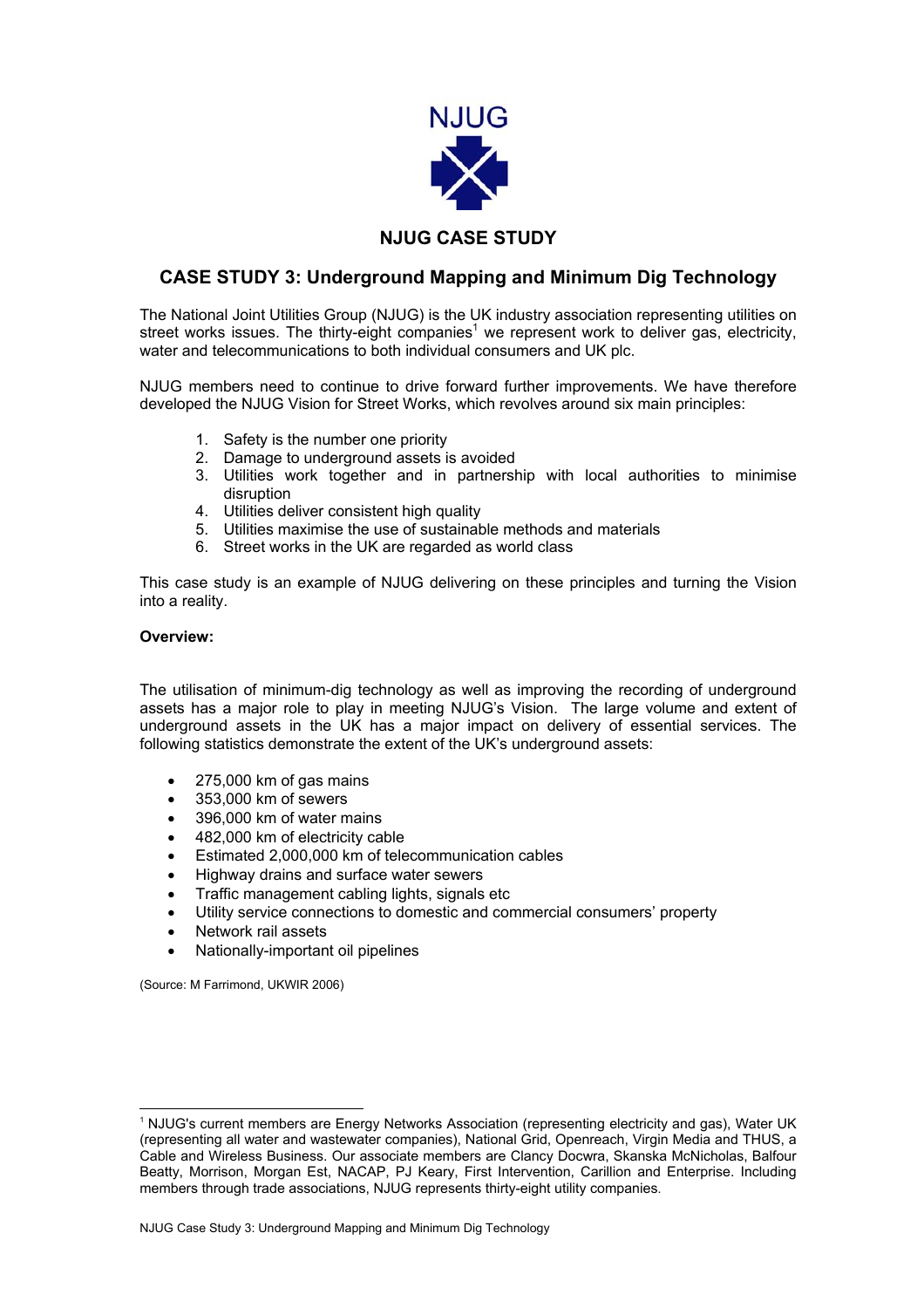

## **NJUG CASE STUDY**

## **CASE STUDY 3: Underground Mapping and Minimum Dig Technology**

The National Joint Utilities Group (NJUG) is the UK industry association representing utilities on streetworks issues. The thirty-eight companies<sup>1</sup> we represent work to deliver gas, electricity, water and telecommunications to both individual consumers and UK plc.

NJUG members need to continue to drive forward further improvements. We have therefore developed the NJUG Vision for Street Works, which revolves around six main principles:

- 1. Safety is the number one priority
- 2. Damage to underground assets is avoided
- 3. Utilities work together and in partnership with local authorities to minimise disruption
- 4. Utilities deliver consistent high quality
- 5. Utilities maximise the use of sustainable methods and materials
- 6. Street works in the UK are regarded as world class

This case study is an example of NJUG delivering on these principles and turning the Vision into a reality.

## **Overview:**

The utilisation of minimum-dig technology as well as improving the recording of underground assets has a major role to play in meeting NJUG's Vision. The large volume and extent of underground assets in the UK has a major impact on delivery of essential services. The following statistics demonstrate the extent of the UK's underground assets:

- 275,000 km of gas mains
- 353,000 km of sewers
- 396,000 km of water mains
- 482,000 km of electricity cable
- Estimated 2,000,000 km of telecommunication cables
- Highway drains and surface water sewers
- Traffic management cabling lights, signals etc
- Utility service connections to domestic and commercial consumers' property
- Network rail assets
- Nationally-important oil pipelines

(Source: M Farrimond, UKWIR 2006)

<span id="page-0-0"></span> <sup>1</sup> NJUG's current members are Energy Networks Association (representing electricity and gas), Water UK (representing all water and wastewater companies), National Grid, Openreach, Virgin Media and THUS, a Cable and Wireless Business. Our associate members are Clancy Docwra, Skanska McNicholas, Balfour Beatty, Morrison, Morgan Est, NACAP, PJ Keary, First Intervention, Carillion and Enterprise. Including members through trade associations, NJUG represents thirty-eight utility companies.